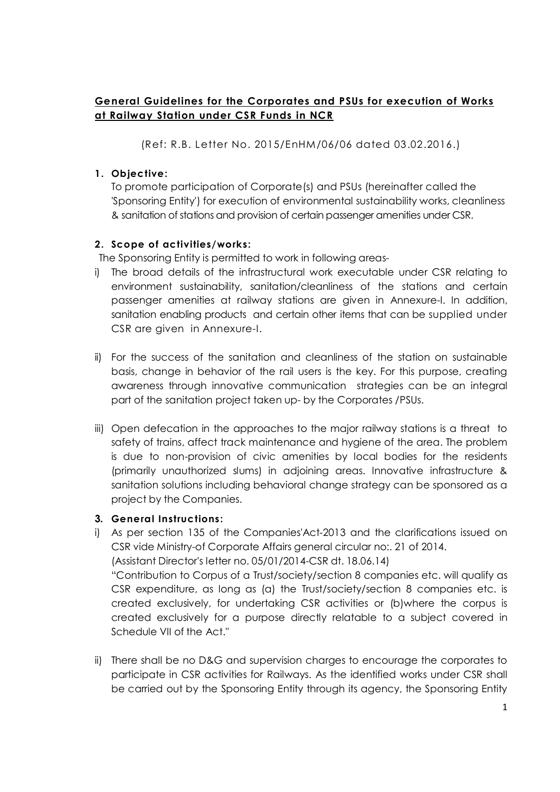## **General Guidelines for the Corporates and PSUs for execution of Works at Railway Station under CSR Funds in NCR**

(Ref: R.B. Letter No. 2015/EnHM/06/06 dated 03.02.2016.)

## **1. Objective:**

To promote participation of Corporate(s) and PSUs (hereinafter called the 'Sponsoring Entity') for execution of environmental sustainability works, cleanliness & sanitation of stations and provision of certain passenger amenities under CSR.

## **2. Scope of activities/works:**

The Sponsoring Entity is permitted to work in following areas-

- i) The broad details of the infrastructural work executable under CSR relating to environment sustainability, sanitation/cleanliness of the stations and certain passenger amenities at railway stations are given in Annexure-I. In addition, sanitation enabling products and certain other items that can be supplied under CSR are given in Annexure-I.
- ii) For the success of the sanitation and cleanliness of the station on sustainable basis, change in behavior of the rail users is the key. For this purpose, creating awareness through innovative communication strategies can be an integral part of the sanitation project taken up- by the Corporates /PSUs.
- iii) Open defecation in the approaches to the major railway stations is a threat to safety of trains, affect track maintenance and hygiene of the area. The problem is due to non-provision of civic amenities by local bodies for the residents [\(primarily u](http://project.by/)nauthorized slums) in adjoining areas. Innovative infrastructure & sanitation solutions including behavioral change strategy can be sponsored as a project by the Companies.

### **3. General Instructions:**

- i) As per section 135 of the Companies'Act-2013 and the clarifications issued on CSR vide Ministry-of Corporate Affairs general circular no:. 21 of 2014. (Assistant Director's letter no. 05/01/2014-CSR dt. 18.06.14) "Contribution to Corpus of a Trust/society/section 8 companies etc. will qualify as CSR expenditure, as long as (a) the Trust/society/section 8 companies etc. is created exclusively, for undertaking CSR activities or (b)where the corpus is created exclusively for a purpose directly relatable to a subject covered in Schedule VII of the Act."
- ii) There shall be no D&G and supervision charges to encourage the corporates to participate in CSR activities for Railways. As the identified works under CSR shall be carried out by the Sponsoring Entity through its agency, the Sponsoring Entity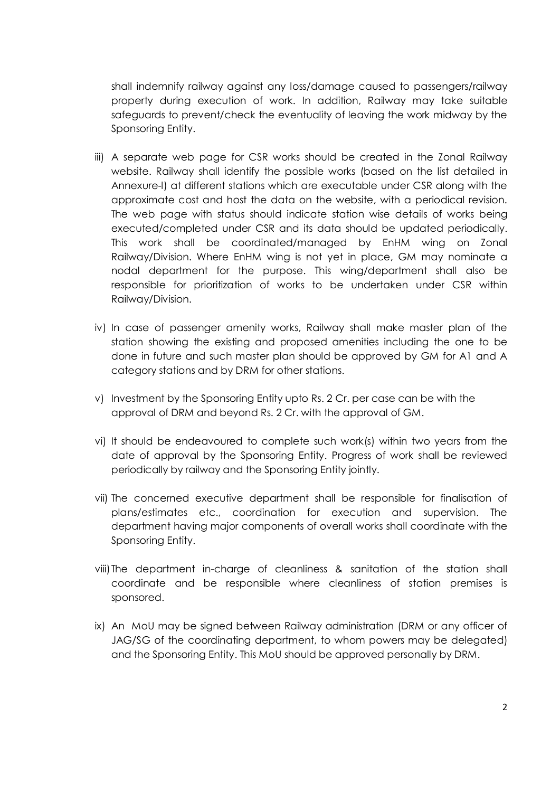shall indemnify railway against any loss/damage caused to passengers/railway property during execution of work. In addition, Railway may take suitable safeguards to prevent/check the eventuality of leaving the work midway by the Sponsoring Entity.

- iii) A separate web page for CSR works should be created in the Zonal Railway website. Railway shall identify the possible works (based on the list detailed in Annexure-l) at different stations which are executable under CSR along with the approximate cost and host the data on the website, with a periodical revision. The web page with status should indicate station wise details of works being executed/completed under CSR and its data should be updated periodically. This work shall be coordinated/managed by EnHM wing on Zonal Railway/Division. Where EnHM wing is not yet in place, GM may nominate a nodal department for the purpose. This wing/department shall also be responsible for prioritization of works to be undertaken under CSR within Railway/Division.
- iv) In case of passenger amenity works, Railway shall make master plan of the station showing the existing and proposed amenities including the one to be done in future and such master plan should be approved by GM for A1 and A category stations and by DRM for other stations.
- v) Investment by the Sponsoring Entity upto Rs. 2 Cr. per case can be with the approval of DRM and beyond Rs. 2 Cr. with the approval of GM.
- vi) It should be endeavoured to complete such work(s) within two years from the date of approval by the Sponsoring Entity. Progress of work shall be reviewed periodically by railway and the Sponsoring Entity jointly.
- vii) The concerned executive department shall be responsible for finalisation of plans/estimates etc., coordination for execution and supervision. The department having major components of overall works shall coordinate with the Sponsoring Entity.
- viii)The department in-charge of cleanliness & sanitation of the station shall coordinate and be responsible where cleanliness of station premises is sponsored.
- ix) An MoU may be signed between Railway administration (DRM or any officer of JAG/SG of the coordinating department, to whom powers may be delegated) and the Sponsoring Entity. This MoU should be approved personally by DRM.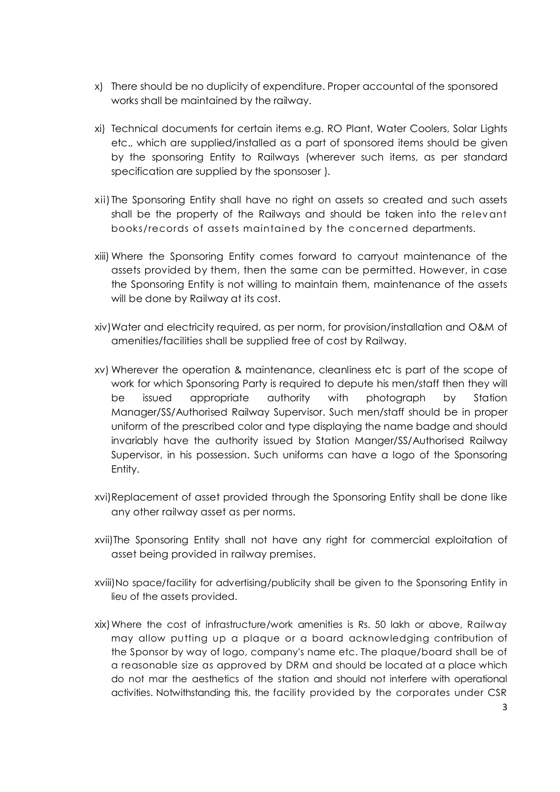- x) There should be no duplicity of expenditure. Proper accountal of the sponsored works shall be maintained by the railway.
- xi) Technical documents for certain items e.g. RO Plant, Water Coolers, Solar Lights etc., which are supplied/installed as a part of sponsored items should be given by the sponsoring Entity to Railways (wherever such items, as per standard specification are supplied by the sponsoser ).
- xii) The Sponsoring Entity shall have no right on assets so created and such assets shall be the property of the Railways and should be taken into the relevant books/records of assets maintained by the concerned departments.
- xiii) Where the Sponsoring Entity comes forward to carryout maintenance of the assets provided by them, then the same can be permitted. However, in case the Sponsoring Entity is not willing to maintain them, maintenance of the assets will be done by Railway at its cost.
- xiv)Water and electricity required, as per norm, for provision/installation and O&M of amenities/facilities shall be supplied free of cost by Railway.
- xv) Wherever the operation & maintenance, cleanliness etc is part of the scope of work for which Sponsoring Party is required to depute his men/staff then they will be issued appropriate authority with photograph by Station Manager/SS/Authorised Railway Supervisor. Such men/staff should be in proper uniform of the prescribed color and type displaying the name badge and should invariably have the authority issued by Station Manger/SS/Authorised Railway Supervisor, in his possession. Such uniforms can have a logo of the Sponsoring Entity.
- xvi)Replacement of asset provided through the Sponsoring Entity shall be done like any other railway asset as per norms.
- xvii)The Sponsoring Entity shall not have any right for commercial exploitation of asset being provided in railway premises.
- xviii)No space/facility for advertising/publicity shall be given to the Sponsoring Entity in lieu of the assets provided.
- xix)Where the cost of infrastructure/work amenities is Rs. 50 lakh or above, Railway may allow putting up a plaque or a board acknowledging contribution of the Sponsor by way of logo, company's name etc. The plaque/board shall be of a reasonable size as approved by DRM and should be located at a place which do not mar the aesthetics of the station and should not interfere with operational activities. Notwithstanding this, the facility provided by the corporates under CSR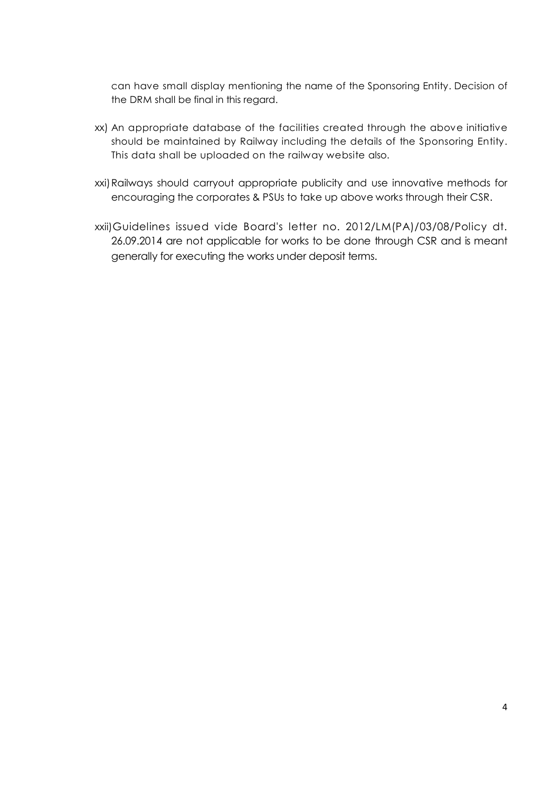can have small display mentioning the name of the Sponsoring Entity. Decision of the DRM shall be final in this regard.

- xx) An appropriate database of the facilities created through the above initiative should be maintained by Railway including the details of the Sponsoring Entity. This data shall be uploaded on the railway website also.
- xxi)Railways should carryout appropriate publicity and use innovative methods for encouraging the corporates & PSUs to take up above works through their CSR.
- xxii)Guidelines issued vide Board's letter no. 2012/LM(PA)/03/08/Policy dt. 26.09.2014 are not applicable for works to be done through CSR and is meant generally for executing the works under deposit terms.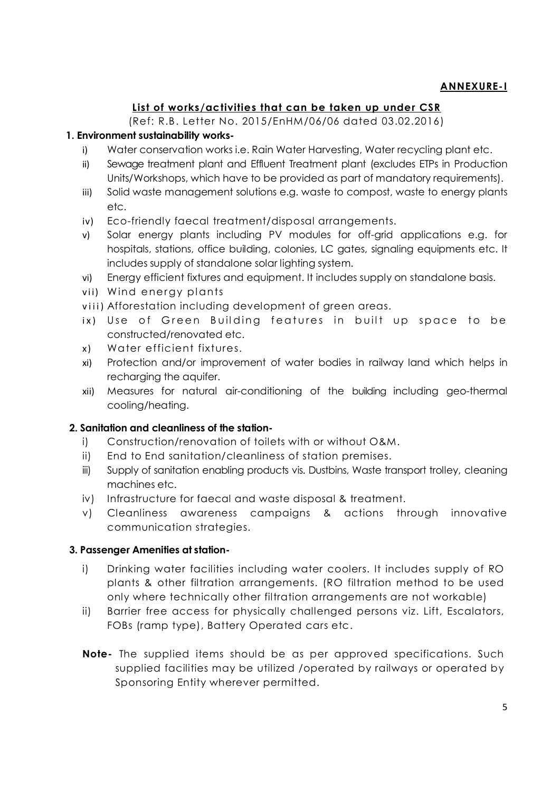## **List of works/activities that can be taken up under CSR**

(Ref: R.B. Letter No. 2015/EnHM/06/06 dated 03.02.2016)

### **1. Environment sustainability works-**

- i) Water conservation works i.e. Rain Water Harvesting, Water recycling plant etc.
- ii) Sewage treatment plant and Effluent Treatment plant (excludes ETPs in Production Units/Workshops, which have to be provided as part of mandatory requirements).
- iii) Solid waste management solutions e.g. waste to compost, waste to energy plants etc.
- iv) Eco-friendly faecal treatment/disposal arrangements.
- v) Solar energy plants including PV modules for off-grid applications e.g. for hospitals, stations, office building, colonies, LC gates, signaling equipments etc. It includes supply of standalone solar lighting system.
- vi) Energy efficient fixtures and equipment. It includes supply on standalone basis.
- vii) Wind energy plants
- viii) Afforestation including development of green areas.
- ix) Use of Green Building features in built up space to be constructed/renovated etc.
- x) Water efficient fixtures.
- xi) Protection and/or improvement of water bodies in railway land which helps in recharging the aquifer.
- xii) Measures for natural air-conditioning of the building including geo-thermal cooling/heating.

#### **2. Sanitation and cleanliness of the station-**

- i) Construction/renovation of toilets with or without O&M.
- ii) End to End sanitation/cleanliness of station premises.
- iii) Supply of sanitation enabling products vis. Dustbins, Waste transport trolley, cleaning machines etc.
- iv) Infrastructure for faecal and waste disposal & treatment.
- v) Cleanliness awareness campaigns & actions through innovative communication strategies.

#### **3. Passenger Amenities at station-**

- i) Drinking water facilities including water coolers. It includes supply of RO plants & other filtration arrangements. (RO filtration method to be used only where technically other filtration arrangements are not workable)
- ii) Barrier free access for physically challenged persons viz. Lift, Escalators, FOBs (ramp type), Battery Operated cars etc.
- **Note-** The supplied items should be as per approved specifications. Such supplied facilities may be utilized /operated by railways or operated by Sponsoring Entity wherever permitted.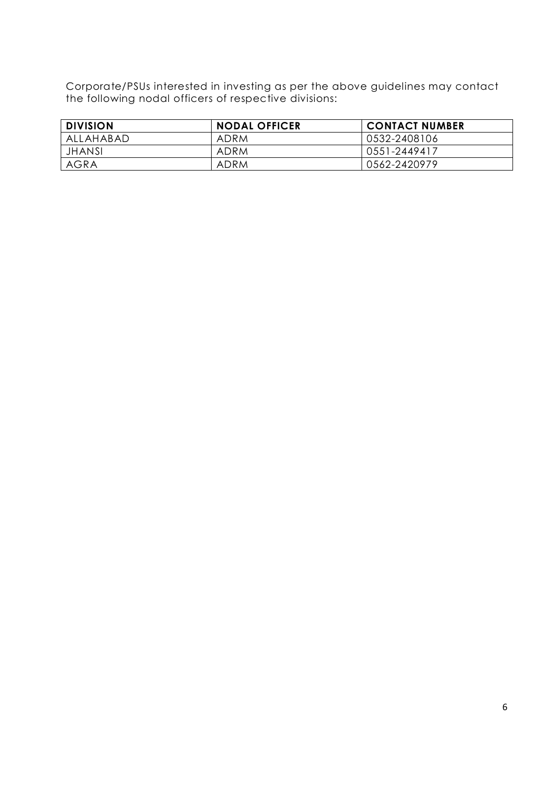Corporate/PSUs interested in investing as per the above guidelines may contact the following nodal officers of respective divisions:

| <b>DIVISION</b> | <b>NODAL OFFICER</b> | <b>CONTACT NUMBER</b> |
|-----------------|----------------------|-----------------------|
| ALLAHABAD       | ADRM                 | 0532-2408106          |
| <b>JHANSI</b>   | ADRM                 | 0551-2449417          |
| <b>AGRA</b>     | ADRM                 | 0562-2420979          |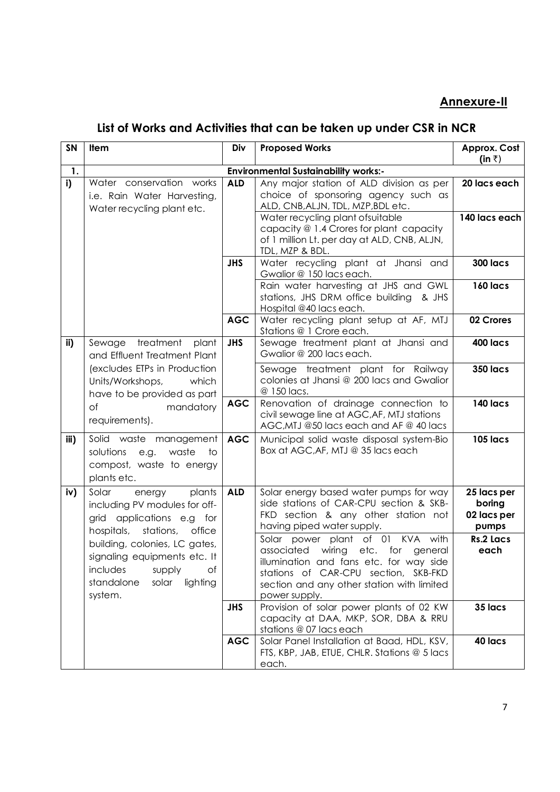# **Annexure-II**

# **List of Works and Activities that can be taken up under CSR in NCR**

| SN   | Item                                                                                                                                                                                                                                                                    | Div        | <b>Proposed Works</b>                                                                                                                                                                                                                                                   | Approx. Cost<br>(in $\bar{z}$ )               |  |
|------|-------------------------------------------------------------------------------------------------------------------------------------------------------------------------------------------------------------------------------------------------------------------------|------------|-------------------------------------------------------------------------------------------------------------------------------------------------------------------------------------------------------------------------------------------------------------------------|-----------------------------------------------|--|
| 1.   | <b>Environmental Sustainability works:-</b>                                                                                                                                                                                                                             |            |                                                                                                                                                                                                                                                                         |                                               |  |
| i)   | Water conservation works<br>i.e. Rain Water Harvesting,<br>Water recycling plant etc.                                                                                                                                                                                   | <b>ALD</b> | Any major station of ALD division as per<br>choice of sponsoring agency such as<br>ALD, CNB, ALJN, TDL, MZP, BDL etc.<br>Water recycling plant ofsuitable<br>capacity @ 1.4 Crores for plant capacity<br>of 1 million Lt. per day at ALD, CNB, ALJN,<br>TDL, MZP & BDL. | 20 lacs each<br>140 lacs each                 |  |
|      |                                                                                                                                                                                                                                                                         | <b>JHS</b> | Water recycling plant at Jhansi and<br>Gwalior @ 150 lacs each.<br>Rain water harvesting at JHS and GWL<br>stations, JHS DRM office building & JHS<br>Hospital @40 lacs each.                                                                                           | <b>300 lacs</b><br><b>160 lacs</b>            |  |
|      |                                                                                                                                                                                                                                                                         | <b>AGC</b> | Water recycling plant setup at AF, MTJ<br>Stations @ 1 Crore each.                                                                                                                                                                                                      | 02 Crores                                     |  |
| ii)  | Sewage treatment<br>plant<br>and Effluent Treatment Plant                                                                                                                                                                                                               | <b>JHS</b> | Sewage treatment plant at Jhansi and<br>Gwalior @ 200 lacs each.                                                                                                                                                                                                        | 400 lacs                                      |  |
|      | (excludes ETPs in Production<br>Units/Workshops,<br>which<br>have to be provided as part                                                                                                                                                                                |            | Sewage treatment plant for Railway<br>colonies at Jhansi @ 200 lacs and Gwalior<br>@ 150 lacs.                                                                                                                                                                          | <b>350 lacs</b>                               |  |
|      | mandatory<br>Οf<br>requirements).                                                                                                                                                                                                                                       | <b>AGC</b> | Renovation of drainage connection to<br>civil sewage line at AGC, AF, MTJ stations<br>AGC, MTJ @50 lacs each and AF @ 40 lacs                                                                                                                                           | 140 lacs                                      |  |
| iii) | Solid waste management<br>solutions<br>waste<br>e.g.<br>to<br>compost, waste to energy<br>plants etc.                                                                                                                                                                   | <b>AGC</b> | Municipal solid waste disposal system-Bio<br>Box at AGC, AF, MTJ @ 35 lacs each                                                                                                                                                                                         | <b>105 lacs</b>                               |  |
| iv)  | Solar<br>plants<br>energy<br>including PV modules for off-<br>grid applications e.g for<br>hospitals,<br>stations,<br>office<br>building, colonies, LC gates,<br>signaling equipments etc. It<br>includes<br>supply<br>Οf<br>solar<br>standalone<br>lighting<br>system. | <b>ALD</b> | Solar energy based water pumps for way<br>side stations of CAR-CPU section & SKB-<br>FKD section & any other station not<br>having piped water supply.                                                                                                                  | 25 lacs per<br>boring<br>02 lacs per<br>pumps |  |
|      |                                                                                                                                                                                                                                                                         |            | Solar power plant of 01 KVA with<br>associated wiring etc. for general<br>illumination and fans etc. for way side<br>stations of CAR-CPU section, SKB-FKD<br>section and any other station with limited<br>power supply.                                                | <b>Rs.2 Lacs</b><br>each                      |  |
|      |                                                                                                                                                                                                                                                                         | <b>JHS</b> | Provision of solar power plants of 02 KW<br>capacity at DAA, MKP, SOR, DBA & RRU<br>stations @ 07 lacs each                                                                                                                                                             | 35 lacs                                       |  |
|      |                                                                                                                                                                                                                                                                         | <b>AGC</b> | Solar Panel Installation at Baad, HDL, KSV,<br>FTS, KBP, JAB, ETUE, CHLR. Stations @ 5 lacs<br>each.                                                                                                                                                                    | 40 lacs                                       |  |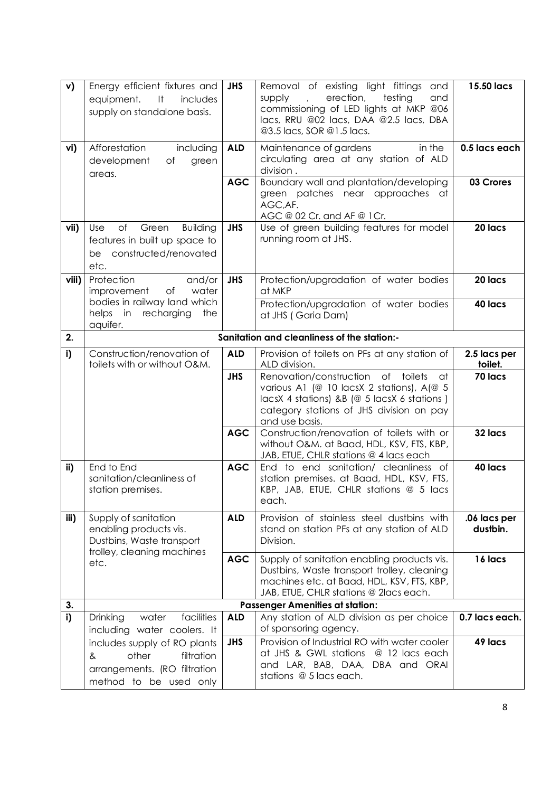| v)    | Energy efficient fixtures and<br>$-11$<br>includes<br>equipment.<br>supply on standalone basis.                    | <b>JHS</b> | Removal of existing light fittings and<br>erection,<br>testing<br>supply<br>and<br>$\mathbf{r}$<br>commissioning of LED lights at MKP @06<br>lacs, RRU @02 lacs, DAA @2.5 lacs, DBA<br>@3.5 lacs, SOR @1.5 lacs. | 15.50 lacs               |
|-------|--------------------------------------------------------------------------------------------------------------------|------------|------------------------------------------------------------------------------------------------------------------------------------------------------------------------------------------------------------------|--------------------------|
| vi)   | Afforestation<br>including<br>development<br>Оf<br>green<br>areas.                                                 | <b>ALD</b> | in the<br>Maintenance of gardens<br>circulating area at any station of ALD<br>division.                                                                                                                          | 0.5 lacs each            |
|       |                                                                                                                    | <b>AGC</b> | Boundary wall and plantation/developing<br>green patches near approaches at<br>AGC, AF.<br>AGC @ 02 Cr. and AF @ 1Cr.                                                                                            | 03 Crores                |
| vii)  | of<br>Use<br>Green<br><b>Building</b><br>features in built up space to<br>be constructed/renovated<br>etc.         | <b>JHS</b> | Use of green building features for model<br>running room at JHS.                                                                                                                                                 | 20 lacs                  |
| viii) | Protection<br>and/or<br>improvement<br>of<br>water<br>bodies in railway land which                                 | <b>JHS</b> | Protection/upgradation of water bodies<br>at MKP                                                                                                                                                                 | 20 lacs                  |
|       | helps in<br>recharging<br>the<br>aquifer.                                                                          |            | Protection/upgradation of water bodies<br>at JHS (Garia Dam)                                                                                                                                                     | 40 lacs                  |
| 2.    | Sanitation and cleanliness of the station:-                                                                        |            |                                                                                                                                                                                                                  |                          |
| i)    | Construction/renovation of<br>toilets with or without O&M.                                                         | <b>ALD</b> | Provision of toilets on PFs at any station of<br>ALD division.                                                                                                                                                   | 2.5 lacs per<br>toilet.  |
|       |                                                                                                                    | <b>JHS</b> | Renovation/construction of toilets<br>at<br>various A1 (@ 10 lacsX 2 stations), A(@ 5<br>lacsX 4 stations) &B (@ 5 lacsX 6 stations)<br>category stations of JHS division on pay<br>and use basis.               | 70 lacs                  |
|       |                                                                                                                    | <b>AGC</b> | Construction/renovation of toilets with or<br>without O&M. at Baad, HDL, KSV, FTS, KBP,<br>JAB, ETUE, CHLR stations @ 4 lacs each                                                                                | 32 lacs                  |
| ii)   | End to End<br>sanitation/cleanliness of<br>station premises.                                                       | <b>AGC</b> | End to end sanitation/ cleanliness of<br>station premises. at Baad, HDL, KSV, FTS,<br>KBP, JAB, ETUE, CHLR stations @ 5 lacs<br>each.                                                                            | 40 lacs                  |
| iii)  | Supply of sanitation<br>enabling products vis.<br>Dustbins, Waste transport<br>trolley, cleaning machines          | <b>ALD</b> | Provision of stainless steel dustbins with<br>stand on station PFs at any station of ALD<br>Division.                                                                                                            | .06 lacs per<br>dustbin. |
|       | etc.                                                                                                               | <b>AGC</b> | Supply of sanitation enabling products vis.<br>Dustbins, Waste transport trolley, cleaning<br>machines etc. at Baad, HDL, KSV, FTS, KBP,<br>JAB, ETUE, CHLR stations @ 2lacs each.                               | 16 lacs                  |
| 3.    | <b>Passenger Amenities at station:</b>                                                                             |            |                                                                                                                                                                                                                  |                          |
| i)    | facilities<br>Drinking<br>water<br>including water coolers. It                                                     | <b>ALD</b> | Any station of ALD division as per choice<br>of sponsoring agency.                                                                                                                                               | 0.7 lacs each.           |
|       | includes supply of RO plants<br>other<br>filtration<br>&<br>arrangements. (RO filtration<br>method to be used only | <b>JHS</b> | Provision of Industrial RO with water cooler<br>at JHS & GWL stations<br>@ 12 lacs each<br>and LAR, BAB, DAA, DBA and ORAI<br>stations @ 5 lacs each.                                                            | 49 lacs                  |